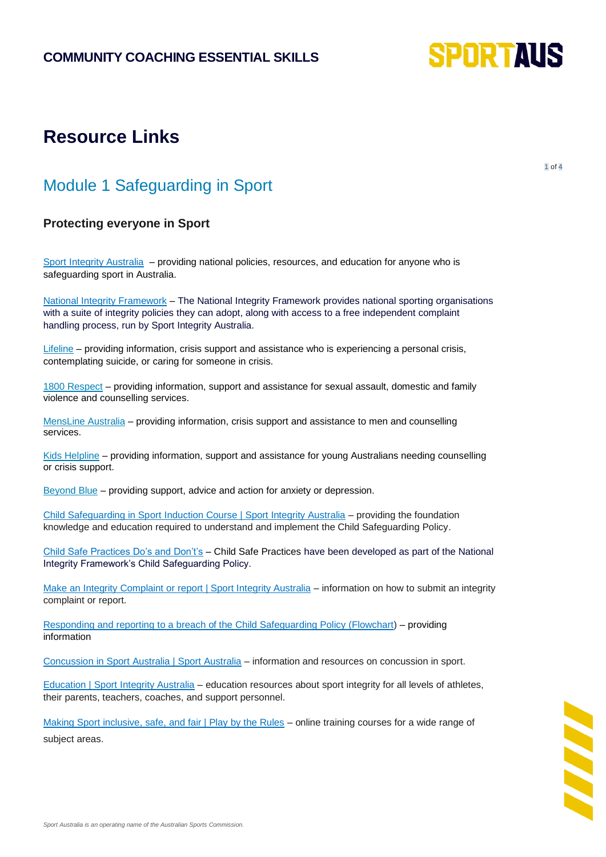

# **Resource Links**

1 of 4

### Module 1 Safeguarding in Sport

#### **Protecting everyone in Sport**

[Sport Integrity Australia](https://www.sportintegrity.gov.au/contact-us/make-an-integrity-complaint-or-report) – providing national policies, resources, and education for anyone who is safeguarding sport in Australia.

[National Integrity Framework](https://www.sportintegrity.gov.au/what-we-do/national-integrity-framework) – The National Integrity Framework provides national sporting organisations with a suite of integrity policies they can adopt, along with access to a free independent complaint handling process, run by Sport Integrity Australia.

[Lifeline](https://www.lifeline.org.au/) – providing information, crisis support and assistance who is experiencing a personal crisis, contemplating suicide, or caring for someone in crisis.

[1800 Respect](https://www.1800respect.org.au/) – providing information, support and assistance for sexual assault, domestic and family violence and counselling services.

[MensLine Australia](https://mensline.org.au/phone-and-online-counselling/?gclid=EAIaIQobChMItvCi37Kp9gIV-pNmAh01owprEAAYASAAEgITrfD_BwE) – providing information, crisis support and assistance to men and counselling services.

[Kids Helpline](https://kidshelpline.com.au/?gclid=EAIaIQobChMI39uc-rKp9gIVVSQrCh2aFgxYEAAYASAAEgLa1_D_BwE) – providing information, support and assistance for young Australians needing counselling or crisis support.

[Beyond Blue](https://www.beyondblue.org.au/) – providing support, advice and action for anxiety or depression.

[Child Safeguarding in Sport Induction Course | Sport Integrity Australia](https://elearning.sportintegrity.gov.au/login/index.php) – providing the foundation knowledge and education required to understand and implement the Child Safeguarding Policy.

[Child Safe Practices Do's and Don't's](https://www.sportintegrity.gov.au/sites/default/files/SIA_Child%20Safe%20Practices%20Booklet_06_small.pdf) – Child Safe Practices have been developed as part of the National Integrity Framework's Child Safeguarding Policy.

[Make an Integrity Complaint or report | Sport Integrity Australia](https://www.sportintegrity.gov.au/contact-us/make-an-integrity-complaint-or-report) – information on how to submit an integrity complaint or report.

[Responding and reporting to a breach of the Child Safeguarding Policy \(Flowchart\)](https://www.sportintegrity.gov.au/sites/default/files/SIA_Child%20Safeguarding%20Policy%20Flow%20Chart_04.pdf) – providing information

[Concussion in Sport Australia | Sport Australia](https://www.concussioninsport.gov.au/) – information and resources on concussion in sport.

[Education | Sport Integrity Australia](https://www.sportintegrity.gov.au/what-we-do/education) – education resources about sport integrity for all levels of athletes, their parents, teachers, coaches, and support personnel.

[Making Sport inclusive, safe, and fair | Play by the Rules](https://www.playbytherules.net.au/online-courses) – online training courses for a wide range of subject areas.

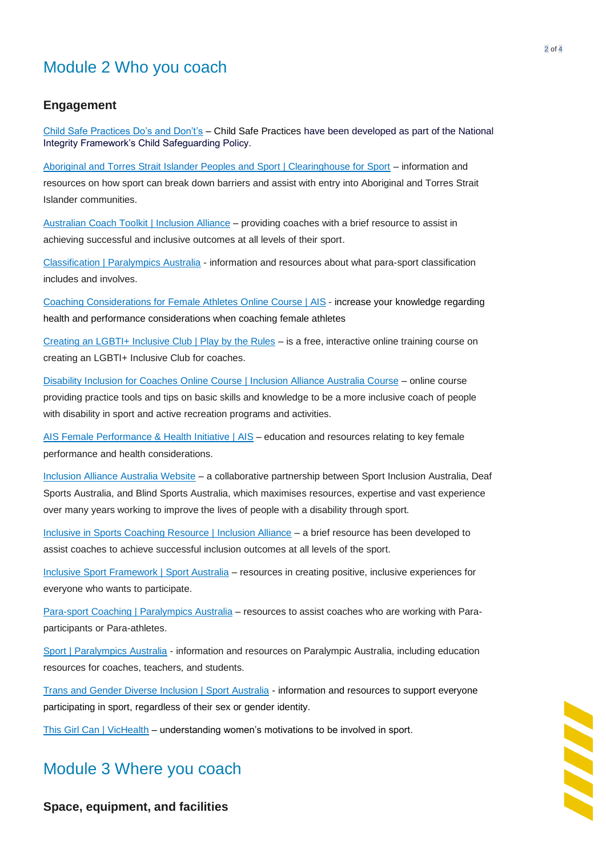## Module 2 Who you coach

#### **Engagement**

[Child Safe Practices Do's and Don't's](https://www.sportintegrity.gov.au/sites/default/files/SIA_Child%20Safe%20Practices%20Booklet_06_small.pdf) – Child Safe Practices have been developed as part of the National Integrity Framework's Child Safeguarding Policy.

[Aboriginal and Torres Strait Islander Peoples and Sport | Clearinghouse for Sport](https://www.clearinghouseforsport.gov.au/kb/indigenous-australians-and-sport#coaching_and_leadership) – information and resources on how sport can break down barriers and assist with entry into Aboriginal and Torres Strait Islander communities.

Australian [Coach Toolkit | Inclusion Alliance](https://inclusionalliance.org.au/wp-content/uploads/2021/03/Coach-Toolkit-Inclusion-Alliance.pdf) - providing coaches with a brief resource to assist in achieving successful and inclusive outcomes at all levels of their sport.

[Classification | Paralympics Australia](https://aus01.safelinks.protection.outlook.com/?url=https%3A%2F%2Fwww.paralympic.org.au%2Fclassification%2F&data=05%7C01%7CWill.Vickery%40ausport.gov.au%7Ced32779217aa4170822908da429f8516%7C8d2e0f4c55f24cb18ee7da5dd3ff3600%7C0%7C0%7C637895550144933050%7CUnknown%7CTWFpbGZsb3d8eyJWIjoiMC4wLjAwMDAiLCJQIjoiV2luMzIiLCJBTiI6Ik1haWwiLCJXVCI6Mn0%3D%7C3000%7C%7C%7C&sdata=x%2FTWvrElXJwt3WqePuODYY0lRyyJJKiTKCZknOjlhvM%3D&reserved=0) - information and resources about what para-sport classification includes and involves.

[Coaching Considerations for Female Athletes](http://static.ausport.gov.au/fphi/module-7/#/) Online Course | AIS - increase your knowledge regarding health and performance considerations when coaching female athletes

[Creating an LGBTI+ Inclusive Club | Play by the Rules](https://www.playbytherules.net.au/online-courses/creating-an-lgbti-inclusive-club) – is a free, interactive online training course on creating an LGBTI+ Inclusive Club for coaches.

Disability Inclusion for Coaches Online Course [| Inclusion Alliance Australia Course](https://inclusionalliance.org.au/education-and-training/education-modules/) – online course providing practice tools and tips on basic skills and knowledge to be a more inclusive coach of people with disability in sport and active recreation programs and activities.

[AIS Female Performance & Health Initiative](https://www.ais.gov.au/fphi) | AIS – education and resources relating to key female performance and health considerations.

[Inclusion Alliance Australia Website](https://inclusionalliance.org.au/) – a collaborative partnership between Sport Inclusion Australia, Deaf Sports Australia, and Blind Sports Australia, which maximises resources, expertise and vast experience over many years working to improve the lives of people with a disability through sport.

[Inclusive in Sports Coaching Resource | Inclusion Alliance](https://inclusionalliance.org.au/wp-content/uploads/2021/03/Coach-Toolkit-Inclusion-Alliance.pdf) – a brief resource has been developed to assist coaches to achieve successful inclusion outcomes at all levels of the sport.

[Inclusive Sport Framework | Sport Australia](https://www.sportaus.gov.au/participation/inclusive_sport) – resources in creating positive, inclusive experiences for everyone who wants to participate.

[Para-sport Coaching | Paralympics Australia](https://www.paralympic.org.au/programs/para-sport-coaching/) – resources to assist coaches who are working with Paraparticipants or Para-athletes.

[Sport | Paralympics Australia](https://aus01.safelinks.protection.outlook.com/?url=https%3A%2F%2Fwww.paralympic.org.au%2Fsport%2F&data=05%7C01%7CWill.Vickery%40ausport.gov.au%7Ced32779217aa4170822908da429f8516%7C8d2e0f4c55f24cb18ee7da5dd3ff3600%7C0%7C0%7C637895550144933050%7CUnknown%7CTWFpbGZsb3d8eyJWIjoiMC4wLjAwMDAiLCJQIjoiV2luMzIiLCJBTiI6Ik1haWwiLCJXVCI6Mn0%3D%7C3000%7C%7C%7C&sdata=CA4j0CLngUL0EnVpO%2FdxfKRh%2Bwu2wW0Zb3%2FNnzbXVDo%3D&reserved=0) - information and resources on Paralympic Australia, including education resources for coaches, teachers, and students.

[Trans and Gender Diverse Inclusion | Sport Australia](https://www.sportaus.gov.au/integrity_in_sport/transgender_and_gender_diverse_people_in_sport) - information and resources to support everyone participating in sport, regardless of their sex or gender identity.

[This Girl Can](https://thisgirlcan.com.au/) | VicHealth – understanding women's motivations to be involved in sport.

### Module 3 Where you coach

**Space, equipment, and facilities**

**ANAI**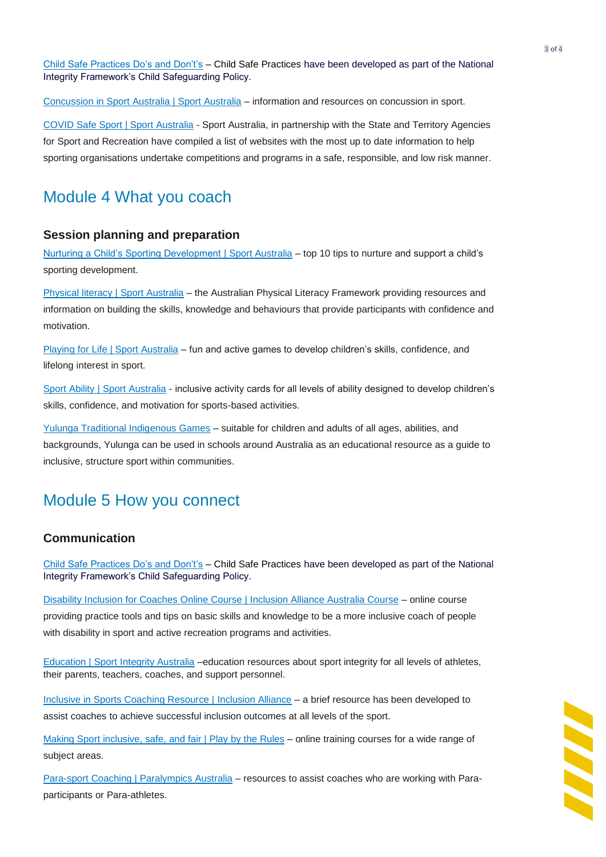[Child Safe Practices Do's and Don't's](https://www.sportintegrity.gov.au/sites/default/files/SIA_Child%20Safe%20Practices%20Booklet_06_small.pdf) – Child Safe Practices have been developed as part of the National Integrity Framework's Child Safeguarding Policy.

[Concussion in Sport Australia | Sport Australia](https://www.concussioninsport.gov.au/) – information and resources on concussion in sport.

[COVID Safe Sport | Sport Australia](https://www.sportaus.gov.au/covid-safe-sport) - Sport Australia, in partnership with the State and Territory Agencies for Sport and Recreation have compiled a list of websites with the most up to date information to help sporting organisations undertake competitions and programs in a safe, responsible, and low risk manner.

### Module 4 What you coach

#### **Session planning and preparation**

[Nurturing a Child's Sporting Development | Sport Australia](https://www.sportaus.gov.au/athlete_development/top_10_tips_for_parents) – top 10 tips to nurture and support a child's sporting development.

[Physical literacy | Sport Australia](https://www.sportaus.gov.au/physical_literacy) – the Australian Physical Literacy Framework providing resources and information on building the skills, knowledge and behaviours that provide participants with confidence and motivation.

[Playing for Life | Sport Australia](https://www.sportaus.gov.au/p4l) – fun and active games to develop children's skills, confidence, and lifelong interest in sport.

[Sport Ability | Sport Australia](https://www.sportaus.gov.au/sports_ability) - inclusive activity cards for all levels of ability designed to develop children's skills, confidence, and motivation for sports-based activities.

[Yulunga Traditional Indigenous Games](https://www.sportaus.gov.au/yulunga) – suitable for children and adults of all ages, abilities, and backgrounds, Yulunga can be used in schools around Australia as an educational resource as a guide to inclusive, structure sport within communities.

### Module 5 How you connect

#### **Communication**

[Child Safe Practices Do's and Don't's](https://www.sportintegrity.gov.au/sites/default/files/SIA_Child%20Safe%20Practices%20Booklet_06_small.pdf) – Child Safe Practices have been developed as part of the National Integrity Framework's Child Safeguarding Policy.

[Disability Inclusion for Coaches Online Course | Inclusion Alliance Australia Course](https://inclusionalliance.org.au/education-and-training/education-modules/) – online course providing practice tools and tips on basic skills and knowledge to be a more inclusive coach of people with disability in sport and active recreation programs and activities.

[Education | Sport Integrity Australia](https://www.sportintegrity.gov.au/what-we-do/education) –education resources about sport integrity for all levels of athletes, their parents, teachers, coaches, and support personnel.

[Inclusive in Sports Coaching Resource | Inclusion Alliance](https://inclusionalliance.org.au/wp-content/uploads/2021/03/Coach-Toolkit-Inclusion-Alliance.pdf) – a brief resource has been developed to assist coaches to achieve successful inclusion outcomes at all levels of the sport.

[Making Sport inclusive, safe, and fair](https://www.playbytherules.net.au/online-courses) | Play by the Rules – online training courses for a wide range of subject areas.

[Para-sport Coaching | Paralympics Australia](https://www.paralympic.org.au/programs/para-sport-coaching/) - resources to assist coaches who are working with Paraparticipants or Para-athletes.

**AAAAA**